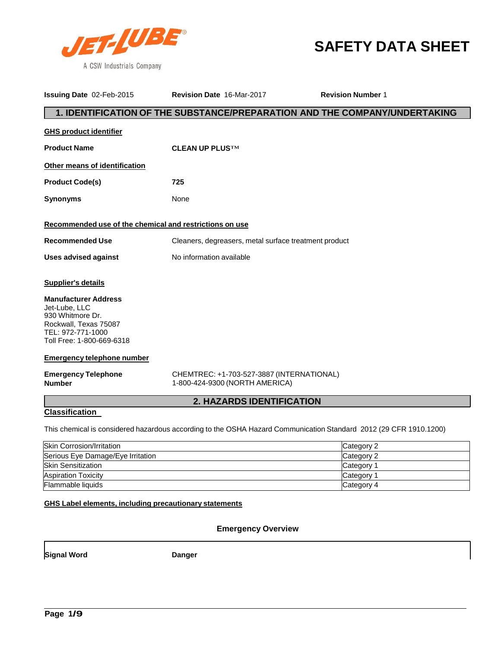

# **SAFETY DATA SHEET**

| Issuing Date 02-Feb-2015                                                                                                                    | Revision Date 16-Mar-2017                                                   | <b>Revision Number 1</b>                                                                                          |
|---------------------------------------------------------------------------------------------------------------------------------------------|-----------------------------------------------------------------------------|-------------------------------------------------------------------------------------------------------------------|
|                                                                                                                                             |                                                                             | 1. IDENTIFICATION OF THE SUBSTANCE/PREPARATION AND THE COMPANY/UNDERTAKING                                        |
| <b>GHS product identifier</b>                                                                                                               |                                                                             |                                                                                                                   |
| <b>Product Name</b>                                                                                                                         | <b>CLEAN UP PLUSTM</b>                                                      |                                                                                                                   |
| Other means of identification                                                                                                               |                                                                             |                                                                                                                   |
| <b>Product Code(s)</b>                                                                                                                      | 725                                                                         |                                                                                                                   |
| <b>Synonyms</b>                                                                                                                             | None                                                                        |                                                                                                                   |
| Recommended use of the chemical and restrictions on use                                                                                     |                                                                             |                                                                                                                   |
| <b>Recommended Use</b>                                                                                                                      | Cleaners, degreasers, metal surface treatment product                       |                                                                                                                   |
| <b>Uses advised against</b>                                                                                                                 | No information available                                                    |                                                                                                                   |
| Supplier's details                                                                                                                          |                                                                             |                                                                                                                   |
| <b>Manufacturer Address</b><br>Jet-Lube, LLC<br>930 Whitmore Dr.<br>Rockwall, Texas 75087<br>TEL: 972-771-1000<br>Toll Free: 1-800-669-6318 |                                                                             |                                                                                                                   |
| <b>Emergency telephone number</b>                                                                                                           |                                                                             |                                                                                                                   |
| <b>Emergency Telephone</b><br><b>Number</b>                                                                                                 | CHEMTREC: +1-703-527-3887 (INTERNATIONAL)<br>1-800-424-9300 (NORTH AMERICA) |                                                                                                                   |
|                                                                                                                                             | 2. HAZARDS IDENTIFICATION                                                   |                                                                                                                   |
| <b>Classification</b>                                                                                                                       |                                                                             |                                                                                                                   |
|                                                                                                                                             |                                                                             | This chemical is considered hazardous according to the OSHA Hazard Communication Standard 2012 (29 CFR 1910.1200) |
| <b>Skin Corrosion/Irritation</b>                                                                                                            |                                                                             | Category 2                                                                                                        |
| Serious Eye Damage/Eye Irritation                                                                                                           |                                                                             | Category 2                                                                                                        |
| <b>Skin Sensitization</b><br>Category 1                                                                                                     |                                                                             |                                                                                                                   |
| <b>Aspiration Toxicity</b><br>Category 1                                                                                                    |                                                                             |                                                                                                                   |
| Flammable liquids<br>Category 4                                                                                                             |                                                                             |                                                                                                                   |
| GHS Label elements, including precautionary statements                                                                                      |                                                                             |                                                                                                                   |

## **Emergency Overview**

**Signal Word Danger**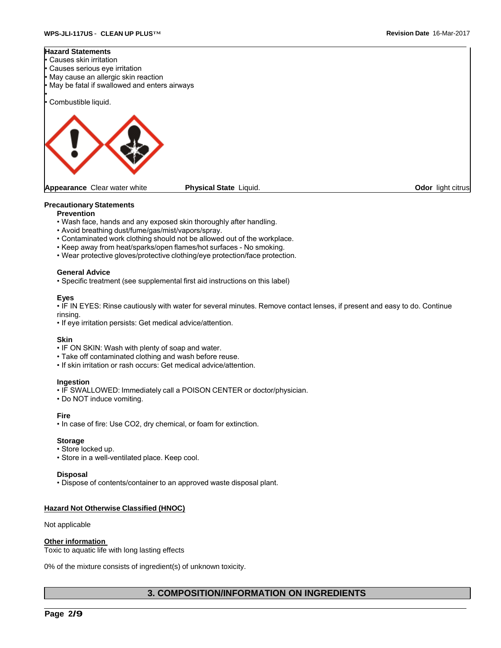### **Hazard Statements**

- Causes skin irritation • Causes serious eye irritation May cause an allergic skin reaction
- May be fatal if swallowed and enters airways

Combustible liquid.

•



**Appearance** Clear water white **Physical State** Liquid. **Odor** light citrus

### **Precautionary Statements**

- **Prevention**
- Wash face, hands and any exposed skin thoroughly after handling.
- Avoid breathing dust/fume/gas/mist/vapors/spray.
- Contaminated work clothing should not be allowed out of the workplace.
- Keep away from heat/sparks/open flames/hot surfaces No smoking.
- Wear protective gloves/protective clothing/eye protection/face protection.

#### **General Advice**

• Specific treatment (see supplemental first aid instructions on this label)

#### **Eyes**

• IF IN EYES: Rinse cautiously with water for several minutes. Remove contact lenses, if present and easy to do. Continue rinsing.

• If eye irritation persists: Get medical advice/attention.

### **Skin**

- IF ON SKIN: Wash with plenty of soap and water.
- Take off contaminated clothing and wash before reuse.
- If skin irritation or rash occurs: Get medical advice/attention.

#### **Ingestion**

- IF SWALLOWED: Immediately call a POISON CENTER or doctor/physician.
- Do NOT induce vomiting.

#### **Fire**

• In case of fire: Use CO2, dry chemical, or foam for extinction.

#### **Storage**

- Store locked up.
- Store in a well-ventilated place. Keep cool.

#### **Disposal**

• Dispose of contents/container to an approved waste disposal plant.

### **Hazard Not Otherwise Classified (HNOC)**

Not applicable

#### **Other information**

Toxic to aquatic life with long lasting effects

0% of the mixture consists of ingredient(s) of unknown toxicity.

## **3. COMPOSITION/INFORMATION ON INGREDIENTS**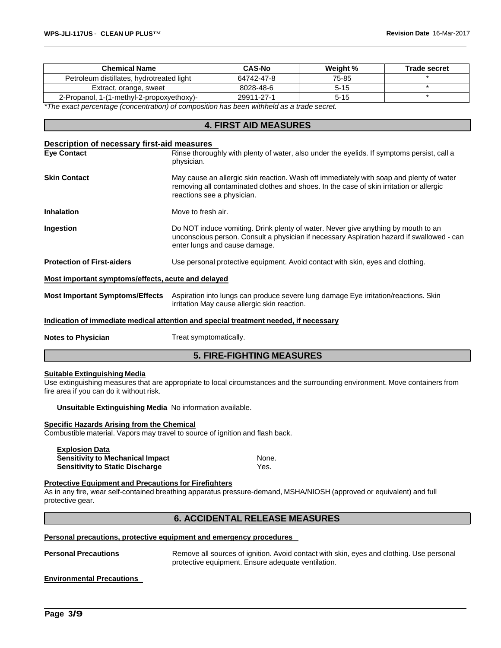| <b>Chemical Name</b>                                                                      | <b>CAS-No</b> | Weight % | <b>Trade secret</b> |
|-------------------------------------------------------------------------------------------|---------------|----------|---------------------|
| Petroleum distillates, hydrotreated light                                                 | 64742-47-8    | 75-85    |                     |
| Extract, orange, sweet                                                                    | 8028-48-6     | $5 - 15$ |                     |
| 2-Propanol, 1-(1-methyl-2-propoxyethoxy)-                                                 | 29911-27-1    | $5 - 15$ |                     |
| *The exect perceptions (conceptration) of composition has been withhold as a trade coaret |               |          |                     |

*\*The exact percentage (concentration) of composition has been withheld as a trade secret.*

## **4. FIRST AID MEASURES**

| Description of necessary first-aid measures        |                                                                                                                                                                                                                  |
|----------------------------------------------------|------------------------------------------------------------------------------------------------------------------------------------------------------------------------------------------------------------------|
| <b>Eve Contact</b>                                 | Rinse thoroughly with plenty of water, also under the eyelids. If symptoms persist, call a<br>physician.                                                                                                         |
| <b>Skin Contact</b>                                | May cause an allergic skin reaction. Wash off immediately with soap and plenty of water<br>removing all contaminated clothes and shoes. In the case of skin irritation or allergic<br>reactions see a physician. |
| <b>Inhalation</b>                                  | Move to fresh air.                                                                                                                                                                                               |
| Ingestion                                          | Do NOT induce vomiting. Drink plenty of water. Never give anything by mouth to an<br>unconscious person. Consult a physician if necessary Aspiration hazard if swallowed - can<br>enter lungs and cause damage.  |
| <b>Protection of First-aiders</b>                  | Use personal protective equipment. Avoid contact with skin, eyes and clothing.                                                                                                                                   |
| Most important symptoms/effects, acute and delayed |                                                                                                                                                                                                                  |
|                                                    | Most Important Symptoms/Effects Aspiration into lungs can produce severe lung damage Eye irritation/reactions. Skin<br>irritation May cause allergic skin reaction.                                              |
|                                                    | Indication of immediate medical attention and special treatment needed, if necessary                                                                                                                             |
| <b>Notes to Physician</b>                          | Treat symptomatically.                                                                                                                                                                                           |

## **5. FIRE-FIGHTING MEASURES**

#### **Suitable Extinguishing Media**

Use extinguishing measures that are appropriate to local circumstances and the surrounding environment. Move containers from fire area if you can do it without risk.

**Unsuitable Extinguishing Media** No information available.

#### **Specific Hazards Arising from the Chemical**

Combustible material. Vapors may travel to source of ignition and flash back.

**Explosion Data Sensitivity to Mechanical Impact None.** None. **Sensitivity to Static Discharge** Yes.

### **Protective Equipment and Precautions for Firefighters**

As in any fire, wear self-contained breathing apparatus pressure-demand, MSHA/NIOSH (approved or equivalent) and full protective gear.

## **6. ACCIDENTAL RELEASE MEASURES**

#### **Personal precautions, protective equipment and emergency procedures**

**Personal Precautions** Remove all sources of ignition. Avoid contact with skin, eyes and clothing. Use personal protective equipment. Ensure adequate ventilation.

**Environmental Precautions**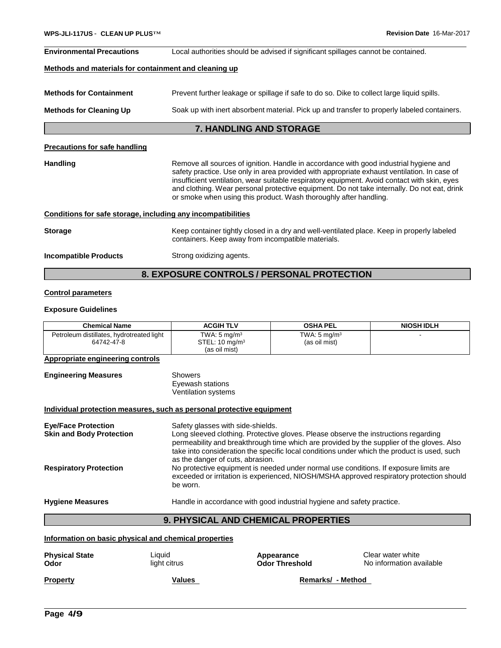| <b>Environmental Precautions</b>                             | Local authorities should be advised if significant spillages cannot be contained.                                                                                                                                                                                                                                                                                                                                                                        |
|--------------------------------------------------------------|----------------------------------------------------------------------------------------------------------------------------------------------------------------------------------------------------------------------------------------------------------------------------------------------------------------------------------------------------------------------------------------------------------------------------------------------------------|
| Methods and materials for containment and cleaning up        |                                                                                                                                                                                                                                                                                                                                                                                                                                                          |
| <b>Methods for Containment</b>                               | Prevent further leakage or spillage if safe to do so. Dike to collect large liquid spills.                                                                                                                                                                                                                                                                                                                                                               |
| <b>Methods for Cleaning Up</b>                               | Soak up with inert absorbent material. Pick up and transfer to properly labeled containers.                                                                                                                                                                                                                                                                                                                                                              |
|                                                              | 7. HANDLING AND STORAGE                                                                                                                                                                                                                                                                                                                                                                                                                                  |
| <b>Precautions for safe handling</b>                         |                                                                                                                                                                                                                                                                                                                                                                                                                                                          |
| <b>Handling</b>                                              | Remove all sources of ignition. Handle in accordance with good industrial hygiene and<br>safety practice. Use only in area provided with appropriate exhaust ventilation. In case of<br>insufficient ventilation, wear suitable respiratory equipment. Avoid contact with skin, eyes<br>and clothing. Wear personal protective equipment. Do not take internally. Do not eat, drink<br>or smoke when using this product. Wash thoroughly after handling. |
| Conditions for safe storage, including any incompatibilities |                                                                                                                                                                                                                                                                                                                                                                                                                                                          |
| <b>Storage</b>                                               | Keep container tightly closed in a dry and well-ventilated place. Keep in properly labeled<br>containers. Keep away from incompatible materials.                                                                                                                                                                                                                                                                                                         |
| <b>Incompatible Products</b>                                 | Strong oxidizing agents.                                                                                                                                                                                                                                                                                                                                                                                                                                 |

## **8. EXPOSURE CONTROLS / PERSONAL PROTECTION**

## **Control parameters**

## **Exposure Guidelines**

**Engineering Measures** 

| <b>Chemical Name</b>                                    | <b>ACGIH TLV</b>                                                      | <b>OSHA PEL</b>                          | <b>NIOSH IDLH</b> |
|---------------------------------------------------------|-----------------------------------------------------------------------|------------------------------------------|-------------------|
| Petroleum distillates, hydrotreated light<br>64742-47-8 | TWA: $5 \text{ mg/m}^3$<br>STEL: $10 \text{ mg/m}^3$<br>(as oil mist) | TWA: $5 \text{ mg/m}^3$<br>(as oil mist) |                   |

## **Appropriate engineering controls**

| Showers                    |
|----------------------------|
| Eyewash stations           |
| <b>Ventilation systems</b> |

## **Individual protection measures, such as personal protective equipment**

| <b>Eye/Face Protection</b><br><b>Skin and Body Protection</b> | Safety glasses with side-shields.<br>Long sleeved clothing. Protective gloves. Please observe the instructions regarding<br>permeability and breakthrough time which are provided by the supplier of the gloves. Also<br>take into consideration the specific local conditions under which the product is used, such<br>as the danger of cuts, abrasion. |
|---------------------------------------------------------------|----------------------------------------------------------------------------------------------------------------------------------------------------------------------------------------------------------------------------------------------------------------------------------------------------------------------------------------------------------|
| <b>Respiratory Protection</b>                                 | No protective equipment is needed under normal use conditions. If exposure limits are<br>exceeded or irritation is experienced, NIOSH/MSHA approved respiratory protection should<br>be worn.                                                                                                                                                            |
| <b>Hygiene Measures</b>                                       | Handle in accordance with good industrial hygiene and safety practice.                                                                                                                                                                                                                                                                                   |

## **9. PHYSICAL AND CHEMICAL PROPERTIES**

**Information on basic physical and chemical properties**

| <b>Physical State</b> | Liauid       | Appearance            | Clear water white        |
|-----------------------|--------------|-----------------------|--------------------------|
| Odor                  | light citrus | <b>Odor Threshold</b> | No information available |
| <b>Property</b>       | Values       | Remarks/ - Method     |                          |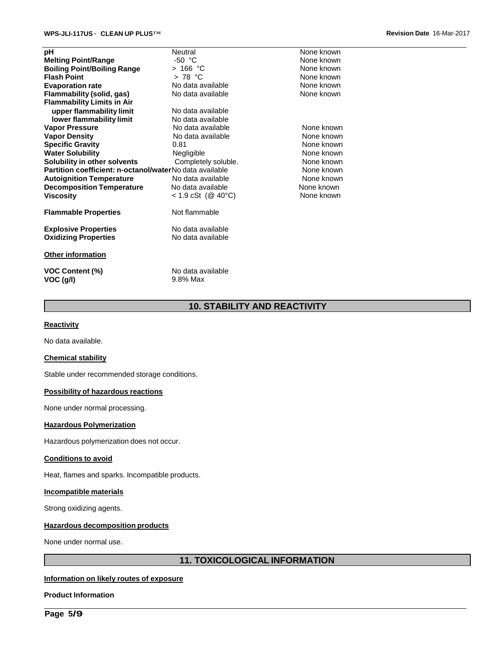| рH                                                      | Neutral                       | None known |
|---------------------------------------------------------|-------------------------------|------------|
| <b>Melting Point/Range</b>                              | $-50 °C$                      | None known |
| <b>Boiling Point/Boiling Range</b>                      | >166 °C                       | None known |
| <b>Flash Point</b>                                      | $>78$ °C                      | None known |
| <b>Evaporation rate</b>                                 | No data available             | None known |
| Flammability (solid, gas)                               | No data available             | None known |
| <b>Flammability Limits in Air</b>                       |                               |            |
| upper flammability limit                                | No data available             |            |
| lower flammability limit                                | No data available             |            |
| <b>Vapor Pressure</b>                                   | No data available             | None known |
| <b>Vapor Density</b>                                    | No data available             | None known |
| <b>Specific Gravity</b>                                 | 0.81                          | None known |
| <b>Water Solubility</b>                                 | Negligible                    | None known |
| Solubility in other solvents                            | Completely soluble.           | None known |
| Partition coefficient: n-octanol/waterNo data available |                               | None known |
| <b>Autoignition Temperature</b>                         | No data available             | None known |
| <b>Decomposition Temperature</b>                        | No data available             | None known |
| <b>Viscosity</b>                                        | $< 1.9$ cSt (@ 40°C)          | None known |
| <b>Flammable Properties</b>                             | Not flammable                 |            |
| <b>Explosive Properties</b>                             | No data available             |            |
| <b>Oxidizing Properties</b>                             | No data available             |            |
| Other information                                       |                               |            |
| <b>VOC Content (%)</b><br>VOC (g/l)                     | No data available<br>9.8% Max |            |

## **10. STABILITY AND REACTIVITY**

### **Reactivity**

No data available.

#### **Chemical stability**

Stable under recommended storage conditions.

## **Possibility of hazardous reactions**

None under normal processing.

#### **Hazardous Polymerization**

Hazardous polymerization does not occur.

## **Conditions to avoid**

Heat, flames and sparks. Incompatible products.

#### **Incompatible materials**

Strong oxidizing agents.

#### **Hazardous decomposition products**

None under normal use.

## **11. TOXICOLOGICAL INFORMATION**

### **Information on likely routes of exposure**

**Product Information**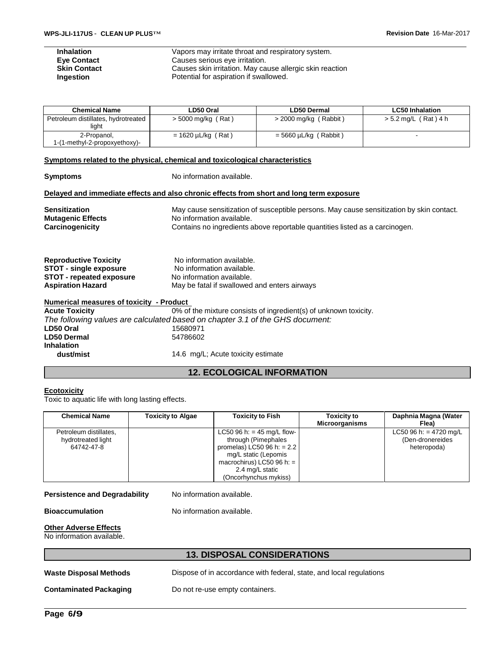| <b>Inhalation</b>   | Vapors may irritate throat and respiratory system.       |
|---------------------|----------------------------------------------------------|
| <b>Eye Contact</b>  | Causes serious eye irritation.                           |
| <b>Skin Contact</b> | Causes skin irritation. May cause allergic skin reaction |
| <b>Ingestion</b>    | Potential for aspiration if swallowed.                   |

| <b>Chemical Name</b>                         | LD50 Oral               | <b>LD50 Dermal</b>      | <b>LC50 Inhalation</b> |
|----------------------------------------------|-------------------------|-------------------------|------------------------|
| Petroleum distillates, hydrotreated<br>liaht | $>$ 5000 mg/kg (Rat)    | $>$ 2000 mg/kg (Rabbit) | > 5.2 mg/L (Rat)4 h    |
| 2-Propanol,<br>1-(1-methyl-2-propoxyethoxy)- | $= 1620 \mu L/kg$ (Rat) | $=$ 5660 µL/kg (Rabbit) |                        |

#### **Symptoms related to the physical, chemical and toxicological characteristics**

| <b>Symptoms</b>                                  | No information available.                                                                                             |
|--------------------------------------------------|-----------------------------------------------------------------------------------------------------------------------|
|                                                  | Delayed and immediate effects and also chronic effects from short and long term exposure                              |
| <b>Sensitization</b><br><b>Mutagenic Effects</b> | May cause sensitization of susceptible persons. May cause sensitization by skin contact.<br>No information available. |
| Carcinogenicity                                  | Contains no ingredients above reportable quantities listed as a carcinogen.                                           |
| <b>Reproductive Toxicity</b>                     | No information available.                                                                                             |
| <b>STOT - single exposure</b>                    | No information available.                                                                                             |
| <b>STOT - repeated exposure</b>                  | No information available.                                                                                             |
| <b>Aspiration Hazard</b>                         | May be fatal if swallowed and enters airways                                                                          |
| Numerical measures of toxicity - Product         |                                                                                                                       |
| <b>Acute Toxicity</b>                            | 0% of the mixture consists of ingredient(s) of unknown toxicity.                                                      |
|                                                  | The following values are calculated based on chapter 3.1 of the GHS document:                                         |
| LD50 Oral                                        | 15680971                                                                                                              |
| <b>LD50 Dermal</b>                               | 54786602                                                                                                              |
| <b>Inhalation</b>                                |                                                                                                                       |
| dust/mist                                        | 14.6 mg/L; Acute toxicity estimate                                                                                    |

## **12. ECOLOGICAL INFORMATION**

## **Ecotoxicity**

Toxic to aquatic life with long lasting effects.

| <b>Chemical Name</b>   | <b>Toxicity to Algae</b> | <b>Toxicity to Fish</b>              | <b>Toxicity to</b><br><b>Microorganisms</b> | Daphnia Magna (Water<br>Flea) |
|------------------------|--------------------------|--------------------------------------|---------------------------------------------|-------------------------------|
| Petroleum distillates, |                          | LC50 96 h: = $45 \text{ mg/L}$ flow- |                                             | LC50 96 h: = 4720 mg/L        |
| hydrotreated light     |                          | through (Pimephales                  |                                             | (Den-dronereides              |
| 64742-47-8             |                          | promelas) LC50 96 h: = $2.2$         |                                             | heteropoda)                   |
|                        |                          | mg/L static (Lepomis                 |                                             |                               |
|                        |                          | macrochirus) LC50 96 h: $=$          |                                             |                               |
|                        |                          | 2.4 mg/L static                      |                                             |                               |
|                        |                          | (Oncorhynchus mykiss)                |                                             |                               |

## **Persistence and Degradability** No information available.

**Bioaccumulation** No information available.

#### **Other Adverse Effects**

No information available.

## **13. DISPOSAL CONSIDERATIONS**

**Waste Disposal Methods** Dispose of in accordance with federal, state, and local regulations

**Contaminated Packaging Do not re-use empty containers.**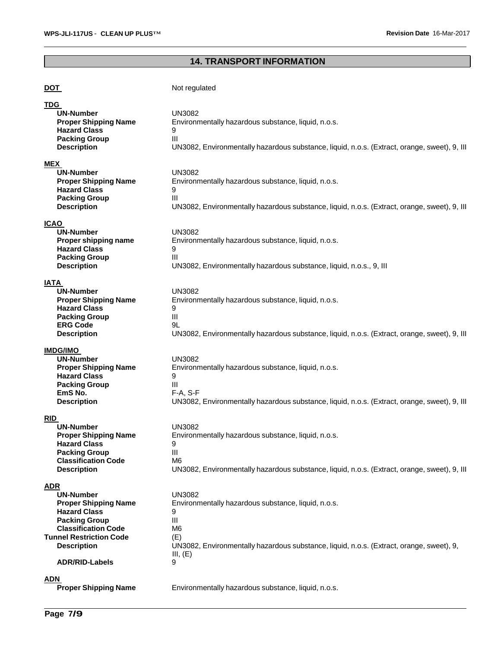# **14. TRANSPORT INFORMATION**

| <b>DOT</b>                                                                                                                                                                                                                  | Not regulated                                                                                                                                                                                                |
|-----------------------------------------------------------------------------------------------------------------------------------------------------------------------------------------------------------------------------|--------------------------------------------------------------------------------------------------------------------------------------------------------------------------------------------------------------|
| TDG.<br>UN-Number<br><b>Proper Shipping Name</b><br><b>Hazard Class</b><br><b>Packing Group</b><br><b>Description</b>                                                                                                       | <b>UN3082</b><br>Environmentally hazardous substance, liquid, n.o.s.<br>9<br>Ш<br>UN3082, Environmentally hazardous substance, liquid, n.o.s. (Extract, orange, sweet), 9, Ill                               |
| <b>MEX</b><br><b>UN-Number</b><br><b>Proper Shipping Name</b><br><b>Hazard Class</b><br><b>Packing Group</b><br><b>Description</b>                                                                                          | <b>UN3082</b><br>Environmentally hazardous substance, liquid, n.o.s.<br>9<br>III<br>UN3082, Environmentally hazardous substance, liquid, n.o.s. (Extract, orange, sweet), 9, Ill                             |
| <b>ICAO</b><br><b>UN-Number</b><br>Proper shipping name<br><b>Hazard Class</b><br><b>Packing Group</b><br><b>Description</b>                                                                                                | <b>UN3082</b><br>Environmentally hazardous substance, liquid, n.o.s.<br>9<br>Ш<br>UN3082, Environmentally hazardous substance, liquid, n.o.s., 9, III                                                        |
| IATA<br><b>UN-Number</b><br><b>Proper Shipping Name</b><br><b>Hazard Class</b><br><b>Packing Group</b><br><b>ERG Code</b><br><b>Description</b>                                                                             | <b>UN3082</b><br>Environmentally hazardous substance, liquid, n.o.s.<br>9<br>Ш<br>9L<br>UN3082, Environmentally hazardous substance, liquid, n.o.s. (Extract, orange, sweet), 9, Ill                         |
| <b>IMDG/IMO</b><br><b>UN-Number</b><br><b>Proper Shipping Name</b><br><b>Hazard Class</b><br><b>Packing Group</b><br>EmS No.<br><b>Description</b>                                                                          | <b>UN3082</b><br>Environmentally hazardous substance, liquid, n.o.s.<br>9<br>Ш<br>F-A, S-F<br>UN3082, Environmentally hazardous substance, liquid, n.o.s. (Extract, orange, sweet), 9, Ill                   |
| <b>RID</b><br><b>UN-Number</b><br><b>Proper Shipping Name</b><br><b>Hazard Class</b><br><b>Packing Group</b><br><b>Classification Code</b><br><b>Description</b>                                                            | <b>UN3082</b><br>Environmentally hazardous substance, liquid, n.o.s.<br>9<br>Ш<br>M6<br>UN3082, Environmentally hazardous substance, liquid, n.o.s. (Extract, orange, sweet), 9, Ill                         |
| <b>ADR</b><br><b>UN-Number</b><br><b>Proper Shipping Name</b><br><b>Hazard Class</b><br><b>Packing Group</b><br><b>Classification Code</b><br><b>Tunnel Restriction Code</b><br><b>Description</b><br><b>ADR/RID-Labels</b> | <b>UN3082</b><br>Environmentally hazardous substance, liquid, n.o.s.<br>9<br>III<br>M6<br>(E)<br>UN3082, Environmentally hazardous substance, liquid, n.o.s. (Extract, orange, sweet), 9,<br>III, $(E)$<br>9 |
| <b>ADN</b><br><b>Proper Shipping Name</b>                                                                                                                                                                                   | Environmentally hazardous substance, liquid, n.o.s.                                                                                                                                                          |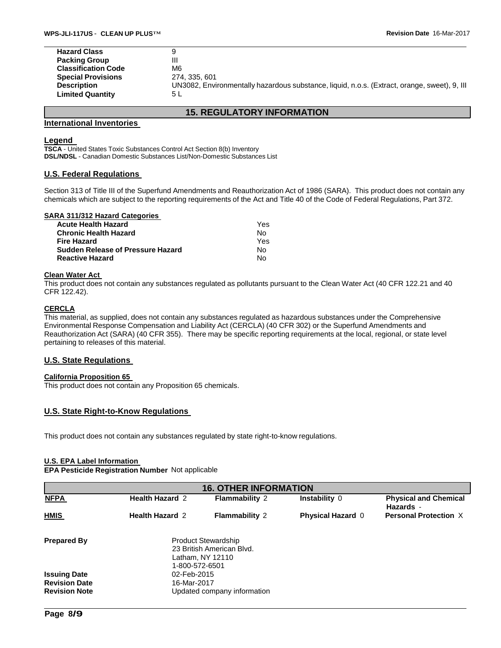| <b>Hazard Class</b>        |                                                                                              |
|----------------------------|----------------------------------------------------------------------------------------------|
| <b>Packing Group</b>       | Ш                                                                                            |
| <b>Classification Code</b> | M6                                                                                           |
| <b>Special Provisions</b>  | 274, 335, 601                                                                                |
| <b>Description</b>         | UN3082, Environmentally hazardous substance, liquid, n.o.s. (Extract, orange, sweet), 9, Ill |
| <b>Limited Quantity</b>    | 5 L                                                                                          |
|                            |                                                                                              |

## **15. REGULATORY INFORMATION**

#### **International Inventories**

#### **Legend**

**TSCA** - United States Toxic Substances Control Act Section 8(b) Inventory **DSL/NDSL** - Canadian Domestic Substances List/Non-Domestic Substances List

#### **U.S. Federal Regulations**

Section 313 of Title III of the Superfund Amendments and Reauthorization Act of 1986 (SARA). This product does not contain any chemicals which are subject to the reporting requirements of the Act and Title 40 of the Code of Federal Regulations, Part 372.

#### **SARA 311/312 Hazard Categories**

| <b>Acute Health Hazard</b>               | Yes. |
|------------------------------------------|------|
| <b>Chronic Health Hazard</b>             | N٥   |
| <b>Fire Hazard</b>                       | Yes  |
| <b>Sudden Release of Pressure Hazard</b> | N٥   |
| <b>Reactive Hazard</b>                   | N٥   |

#### **Clean Water Act**

This product does not contain any substances regulated as pollutants pursuant to the Clean Water Act (40 CFR 122.21 and 40 CFR 122.42).

### **CERCLA**

This material, as supplied, does not contain any substances regulated as hazardous substances under the Comprehensive Environmental Response Compensation and Liability Act (CERCLA) (40 CFR 302) or the Superfund Amendments and Reauthorization Act (SARA) (40 CFR 355). There may be specific reporting requirements at the local, regional, or state level pertaining to releases of this material.

### **U.S. State Regulations**

### **California Proposition 65**

This product does not contain any Proposition 65 chemicals.

### **U.S. State Right-to-Know Regulations**

This product does not contain any substances regulated by state right-to-know regulations.

#### **U.S. EPA Label Information**

## **EPA Pesticide Registration Number** Not applicable

| <b>16. OTHER INFORMATION</b> |                        |                                                                             |                          |                                           |  |  |  |  |
|------------------------------|------------------------|-----------------------------------------------------------------------------|--------------------------|-------------------------------------------|--|--|--|--|
| <b>NFPA</b>                  | <b>Health Hazard 2</b> | <b>Flammability 2</b>                                                       | Instability 0            | <b>Physical and Chemical</b><br>Hazards - |  |  |  |  |
| <b>HMIS</b>                  | <b>Health Hazard 2</b> | <b>Flammability 2</b>                                                       | <b>Physical Hazard 0</b> | <b>Personal Protection X</b>              |  |  |  |  |
| <b>Prepared By</b>           | 1-800-572-6501         | <b>Product Stewardship</b><br>23 British American Blvd.<br>Latham, NY 12110 |                          |                                           |  |  |  |  |
| <b>Issuing Date</b>          | 02-Feb-2015            |                                                                             |                          |                                           |  |  |  |  |
| <b>Revision Date</b>         | 16-Mar-2017            |                                                                             |                          |                                           |  |  |  |  |
| <b>Revision Note</b>         |                        | Updated company information                                                 |                          |                                           |  |  |  |  |
|                              |                        |                                                                             |                          |                                           |  |  |  |  |